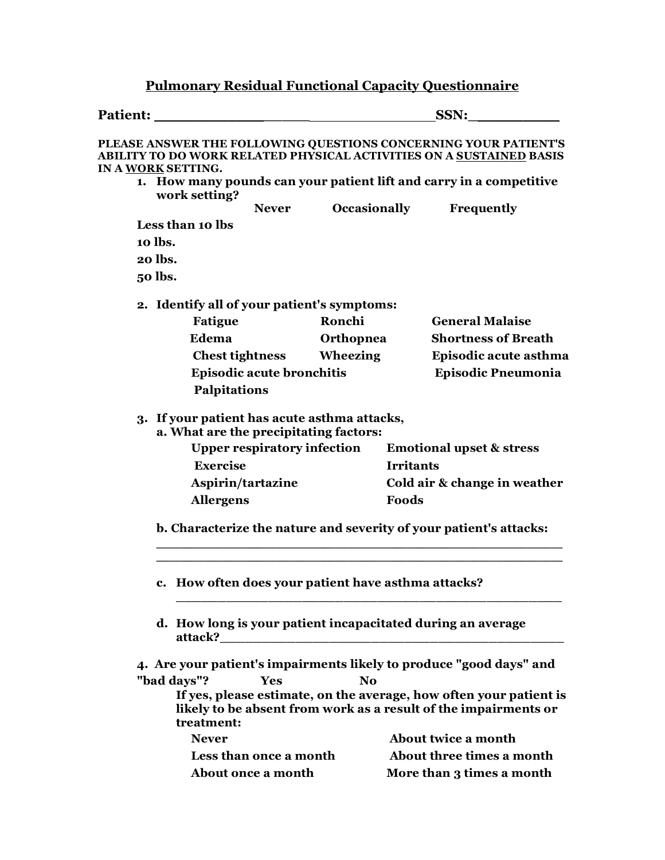## **Pulmonary Residual Functional Capacity Questionnaire**

| <b>Patient:</b>                                                                                                                                                                                                                            | SSN:                                                   |                                                                                                                                       |
|--------------------------------------------------------------------------------------------------------------------------------------------------------------------------------------------------------------------------------------------|--------------------------------------------------------|---------------------------------------------------------------------------------------------------------------------------------------|
| PLEASE ANSWER THE FOLLOWING QUESTIONS CONCERNING YOUR PATIENT'S<br><b>ABILITY TO DO WORK RELATED PHYSICAL ACTIVITIES ON A SUSTAINED BASIS</b><br>IN A WORK SETTING.<br>1. How many pounds can your patient lift and carry in a competitive |                                                        |                                                                                                                                       |
| work setting?<br><b>Never</b>                                                                                                                                                                                                              | <b>Occasionally</b>                                    | Frequently                                                                                                                            |
| Less than 10 lbs                                                                                                                                                                                                                           |                                                        |                                                                                                                                       |
| 10 lbs.                                                                                                                                                                                                                                    |                                                        |                                                                                                                                       |
| 20 lbs.                                                                                                                                                                                                                                    |                                                        |                                                                                                                                       |
| 50 lbs.                                                                                                                                                                                                                                    |                                                        |                                                                                                                                       |
| 2. Identify all of your patient's symptoms:                                                                                                                                                                                                |                                                        |                                                                                                                                       |
| <b>Fatigue</b>                                                                                                                                                                                                                             | Ronchi                                                 | <b>General Malaise</b>                                                                                                                |
| Edema                                                                                                                                                                                                                                      | Orthopnea                                              | <b>Shortness of Breath</b>                                                                                                            |
| <b>Chest tightness</b>                                                                                                                                                                                                                     | Wheezing                                               | Episodic acute asthma                                                                                                                 |
|                                                                                                                                                                                                                                            | Episodic acute bronchitis<br><b>Episodic Pneumonia</b> |                                                                                                                                       |
| Palpitations                                                                                                                                                                                                                               |                                                        |                                                                                                                                       |
| 3. If your patient has acute asthma attacks,<br>a. What are the precipitating factors:                                                                                                                                                     |                                                        |                                                                                                                                       |
| <b>Upper respiratory infection</b>                                                                                                                                                                                                         |                                                        | <b>Emotional upset &amp; stress</b>                                                                                                   |
| <b>Exercise</b>                                                                                                                                                                                                                            |                                                        | <b>Irritants</b>                                                                                                                      |
| Aspirin/tartazine                                                                                                                                                                                                                          |                                                        | Cold air & change in weather                                                                                                          |
| <b>Allergens</b>                                                                                                                                                                                                                           |                                                        | Foods                                                                                                                                 |
|                                                                                                                                                                                                                                            |                                                        | b. Characterize the nature and severity of your patient's attacks:                                                                    |
| c. How often does your patient have asthma attacks?                                                                                                                                                                                        |                                                        |                                                                                                                                       |
| d. How long is your patient incapacitated during an average<br>attack?                                                                                                                                                                     |                                                        |                                                                                                                                       |
| 4. Are your patient's impairments likely to produce "good days" and                                                                                                                                                                        |                                                        |                                                                                                                                       |
| "bad days"?<br>Yes                                                                                                                                                                                                                         | <b>No</b>                                              |                                                                                                                                       |
| treatment:                                                                                                                                                                                                                                 |                                                        | If yes, please estimate, on the average, how often your patient is<br>likely to be absent from work as a result of the impairments or |
| <b>Never</b>                                                                                                                                                                                                                               |                                                        | About twice a month                                                                                                                   |
| Less than once a month                                                                                                                                                                                                                     |                                                        | About three times a month                                                                                                             |
| About once a month                                                                                                                                                                                                                         |                                                        | More than 3 times a month                                                                                                             |